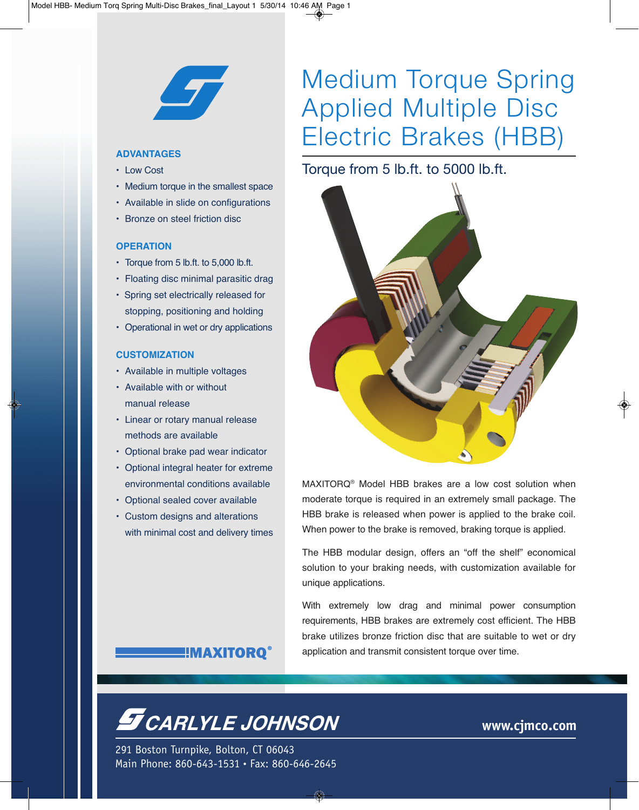

#### **ADVANTAGES**

- Low Cost
- Medium torque in the smallest space
- Available in slide on configurations
- Bronze on steel friction disc

#### **OPERATION**

- Torque from 5 lb.ft. to 5,000 lb.ft.
- Floating disc minimal parasitic drag
- Spring set electrically released for stopping, positioning and holding
- Operational in wet or dry applications

#### **CUSTOMIZATION**

- Available in multiple voltages
- Available with or without manual release
- Linear or rotary manual release methods are available
- Optional brake pad wear indicator
- Optional integral heater for extreme environmental conditions available
- Optional sealed cover available
- Custom designs and alterations with minimal cost and delivery times

# Medium Torque Spring Applied Multiple Disc Electric Brakes (HBB)

# Torque from 5 lb.ft. to 5000 lb.ft.



MAXITORQ® Model HBB brakes are a low cost solution when moderate torque is required in an extremely small package. The HBB brake is released when power is applied to the brake coil. When power to the brake is removed, braking torque is applied.

The HBB modular design, offers an "off the shelf" economical solution to your braking needs, with customization available for unique applications.

With extremely low drag and minimal power consumption requirements, HBB brakes are extremely cost efficient. The HBB brake utilizes bronze friction disc that are suitable to wet or dry application and transmit consistent torque over time.

#### **E!MAXITORO®**

# **ST** CARLYLE JOHNSON

291 Boston Turnpike, Bolton, CT 06043 Main Phone: 860-643-1531 • Fax: 860-646-2645

### **www.cjmco.com**